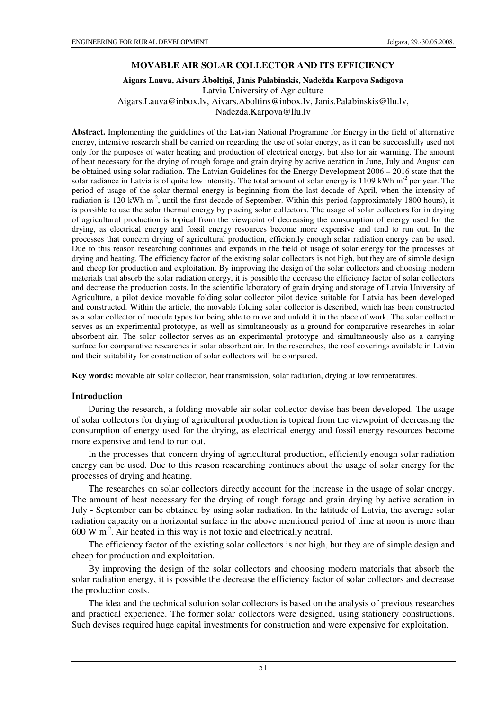#### **MOVABLE AIR SOLAR COLLECTOR AND ITS EFFICIENCY**

### **Aigars Lauva, Aivars** Ā**bolti**ņ**š, J**ā**nis Palabinskis, Nadežda Karpova Sadigova**  Latvia University of Agriculture Aigars.Lauva@inbox.lv, Aivars.Aboltins@inbox.lv, Janis.Palabinskis@llu.lv, Nadezda.Karpova@llu.lv

**Abstract.** Implementing the guidelines of the Latvian National Programme for Energy in the field of alternative energy, intensive research shall be carried on regarding the use of solar energy, as it can be successfully used not only for the purposes of water heating and production of electrical energy, but also for air warming. The amount of heat necessary for the drying of rough forage and grain drying by active aeration in June, July and August can be obtained using solar radiation. The Latvian Guidelines for the Energy Development 2006 – 2016 state that the solar radiance in Latvia is of quite low intensity. The total amount of solar energy is 1109 kWh  $m<sup>2</sup>$  per year. The period of usage of the solar thermal energy is beginning from the last decade of April, when the intensity of radiation is 120 kWh m<sup>-2</sup>, until the first decade of September. Within this period (approximately 1800 hours), it is possible to use the solar thermal energy by placing solar collectors. The usage of solar collectors for in drying of agricultural production is topical from the viewpoint of decreasing the consumption of energy used for the drying, as electrical energy and fossil energy resources become more expensive and tend to run out. In the processes that concern drying of agricultural production, efficiently enough solar radiation energy can be used. Due to this reason researching continues and expands in the field of usage of solar energy for the processes of drying and heating. The efficiency factor of the existing solar collectors is not high, but they are of simple design and cheep for production and exploitation. By improving the design of the solar collectors and choosing modern materials that absorb the solar radiation energy, it is possible the decrease the efficiency factor of solar collectors and decrease the production costs. In the scientific laboratory of grain drying and storage of Latvia University of Agriculture, a pilot device movable folding solar collector pilot device suitable for Latvia has been developed and constructed. Within the article, the movable folding solar collector is described, which has been constructed as a solar collector of module types for being able to move and unfold it in the place of work. The solar collector serves as an experimental prototype, as well as simultaneously as a ground for comparative researches in solar absorbent air. The solar collector serves as an experimental prototype and simultaneously also as a carrying surface for comparative researches in solar absorbent air. In the researches, the roof coverings available in Latvia and their suitability for construction of solar collectors will be compared.

**Key words:** movable air solar collector, heat transmission, solar radiation, drying at low temperatures.

#### **Introduction**

During the research, a folding movable air solar collector devise has been developed. The usage of solar collectors for drying of agricultural production is topical from the viewpoint of decreasing the consumption of energy used for the drying, as electrical energy and fossil energy resources become more expensive and tend to run out.

In the processes that concern drying of agricultural production, efficiently enough solar radiation energy can be used. Due to this reason researching continues about the usage of solar energy for the processes of drying and heating.

The researches on solar collectors directly account for the increase in the usage of solar energy. The amount of heat necessary for the drying of rough forage and grain drying by active aeration in July - September can be obtained by using solar radiation. In the latitude of Latvia, the average solar radiation capacity on a horizontal surface in the above mentioned period of time at noon is more than  $600 \text{ W m}^2$ . Air heated in this way is not toxic and electrically neutral.

The efficiency factor of the existing solar collectors is not high, but they are of simple design and cheep for production and exploitation.

By improving the design of the solar collectors and choosing modern materials that absorb the solar radiation energy, it is possible the decrease the efficiency factor of solar collectors and decrease the production costs.

The idea and the technical solution solar collectors is based on the analysis of previous researches and practical experience. The former solar collectors were designed, using stationery constructions. Such devises required huge capital investments for construction and were expensive for exploitation.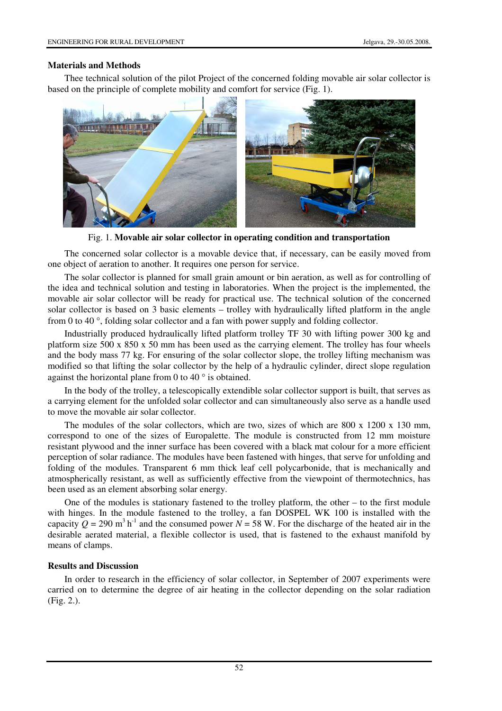## **Materials and Methods**

Thee technical solution of the pilot Project of the concerned folding movable air solar collector is based on the principle of complete mobility and comfort for service (Fig. 1).



Fig. 1. **Movable air solar collector in operating condition and transportation**

The concerned solar collector is a movable device that, if necessary, can be easily moved from one object of aeration to another. It requires one person for service.

The solar collector is planned for small grain amount or bin aeration, as well as for controlling of the idea and technical solution and testing in laboratories. When the project is the implemented, the movable air solar collector will be ready for practical use. The technical solution of the concerned solar collector is based on 3 basic elements – trolley with hydraulically lifted platform in the angle from 0 to 40 °, folding solar collector and a fan with power supply and folding collector.

Industrially produced hydraulically lifted platform trolley TF 30 with lifting power 300 kg and platform size 500 x 850 x 50 mm has been used as the carrying element. The trolley has four wheels and the body mass 77 kg. For ensuring of the solar collector slope, the trolley lifting mechanism was modified so that lifting the solar collector by the help of a hydraulic cylinder, direct slope regulation against the horizontal plane from 0 to 40 ° is obtained.

In the body of the trolley, a telescopically extendible solar collector support is built, that serves as a carrying element for the unfolded solar collector and can simultaneously also serve as a handle used to move the movable air solar collector.

The modules of the solar collectors, which are two, sizes of which are 800 x 1200 x 130 mm, correspond to one of the sizes of Europalette. The module is constructed from 12 mm moisture resistant plywood and the inner surface has been covered with a black mat colour for a more efficient perception of solar radiance. The modules have been fastened with hinges, that serve for unfolding and folding of the modules. Transparent 6 mm thick leaf cell polycarbonide, that is mechanically and atmospherically resistant, as well as sufficiently effective from the viewpoint of thermotechnics, has been used as an element absorbing solar energy.

One of the modules is stationary fastened to the trolley platform, the other – to the first module with hinges. In the module fastened to the trolley, a fan DOSPEL WK 100 is installed with the capacity  $Q = 290$  m<sup>3</sup> h<sup>-1</sup> and the consumed power  $N = 58$  W. For the discharge of the heated air in the desirable aerated material, a flexible collector is used, that is fastened to the exhaust manifold by means of clamps.

### **Results and Discussion**

In order to research in the efficiency of solar collector, in September of 2007 experiments were carried on to determine the degree of air heating in the collector depending on the solar radiation (Fig. 2.).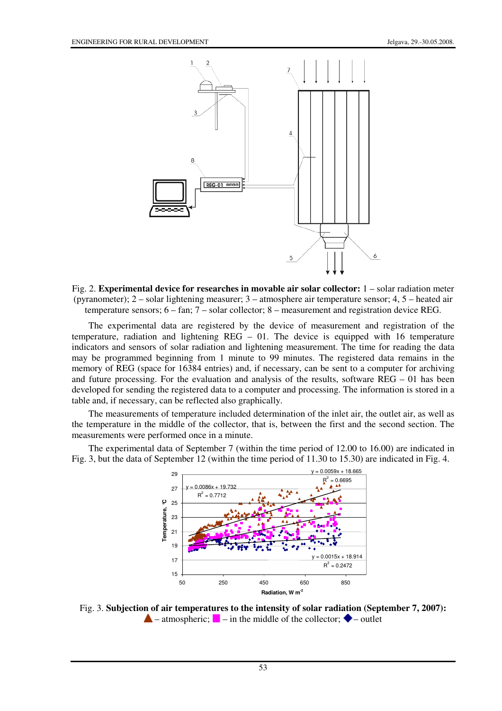

Fig. 2. **Experimental device for researches in movable air solar collector:** 1 – solar radiation meter (pyranometer); 2 – solar lightening measurer; 3 – atmosphere air temperature sensor; 4, 5 – heated air temperature sensors; 6 – fan; 7 – solar collector; 8 – measurement and registration device REG.

The experimental data are registered by the device of measurement and registration of the temperature, radiation and lightening  $REG - 01$ . The device is equipped with 16 temperature indicators and sensors of solar radiation and lightening measurement. The time for reading the data may be programmed beginning from 1 minute to 99 minutes. The registered data remains in the memory of REG (space for 16384 entries) and, if necessary, can be sent to a computer for archiving and future processing. For the evaluation and analysis of the results, software REG – 01 has been developed for sending the registered data to a computer and processing. The information is stored in a table and, if necessary, can be reflected also graphically.

The measurements of temperature included determination of the inlet air, the outlet air, as well as the temperature in the middle of the collector, that is, between the first and the second section. The measurements were performed once in a minute.

The experimental data of September 7 (within the time period of 12.00 to 16.00) are indicated in Fig. 3, but the data of September 12 (within the time period of 11.30 to 15.30) are indicated in Fig. 4.



Fig. 3. **Subjection of air temperatures to the intensity of solar radiation (September 7, 2007):**  $\triangle$  – atmospheric;  $\blacksquare$  – in the middle of the collector;  $\blacklozenge$  – outlet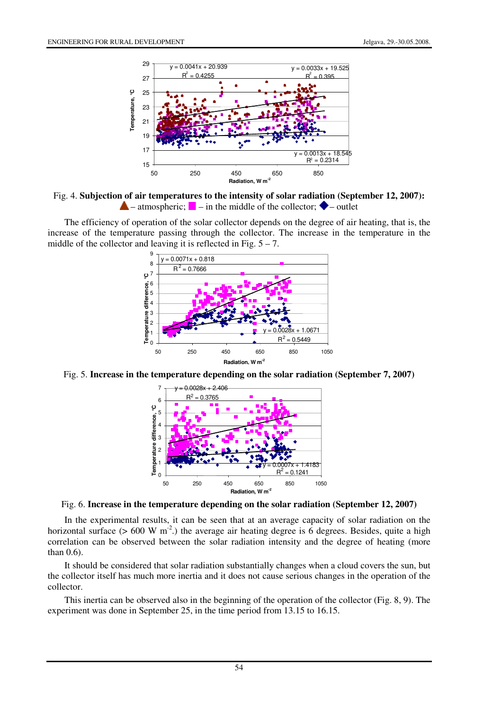![](_page_3_Figure_2.jpeg)

Fig. 4. **Subjection of air temperatures to the intensity of solar radiation (September 12, 2007):**  $\blacktriangle$  – atmospheric;  $\blacktriangleright$  – in the middle of the collector;  $\blacklozenge$  – outlet

The efficiency of operation of the solar collector depends on the degree of air heating, that is, the increase of the temperature passing through the collector. The increase in the temperature in the middle of the collector and leaving it is reflected in Fig.  $5 - 7$ .

![](_page_3_Figure_5.jpeg)

Fig. 5. **Increase in the temperature depending on the solar radiation (September 7, 2007)**

![](_page_3_Figure_7.jpeg)

Fig. 6. **Increase in the temperature depending on the solar radiation (September 12, 2007)** 

In the experimental results, it can be seen that at an average capacity of solar radiation on the horizontal surface ( $> 600 \text{ W m}^{-2}$ .) the average air heating degree is 6 degrees. Besides, quite a high correlation can be observed between the solar radiation intensity and the degree of heating (more than 0.6).

It should be considered that solar radiation substantially changes when a cloud covers the sun, but the collector itself has much more inertia and it does not cause serious changes in the operation of the collector.

This inertia can be observed also in the beginning of the operation of the collector (Fig. 8, 9). The experiment was done in September 25, in the time period from 13.15 to 16.15.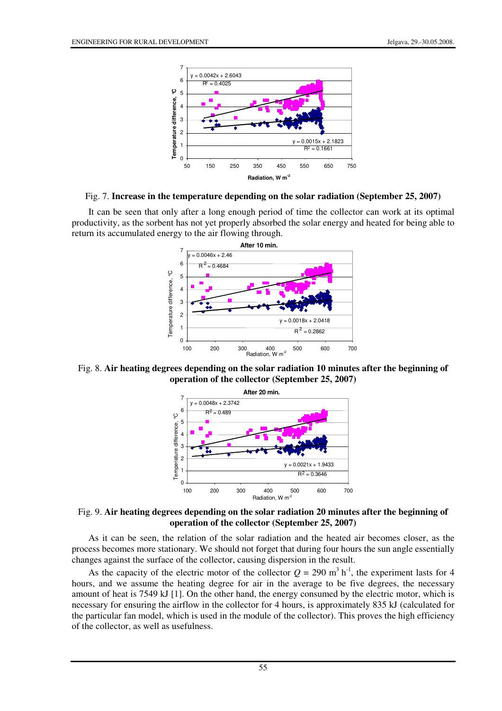![](_page_4_Figure_2.jpeg)

Fig. 7. **Increase in the temperature depending on the solar radiation (September 25, 2007)**

It can be seen that only after a long enough period of time the collector can work at its optimal productivity, as the sorbent has not yet properly absorbed the solar energy and heated for being able to return its accumulated energy to the air flowing through.

![](_page_4_Figure_5.jpeg)

Fig. 8. **Air heating degrees depending on the solar radiation 10 minutes after the beginning of operation of the collector (September 25, 2007)**

![](_page_4_Figure_7.jpeg)

Fig. 9. **Air heating degrees depending on the solar radiation 20 minutes after the beginning of operation of the collector (September 25, 2007)**

As it can be seen, the relation of the solar radiation and the heated air becomes closer, as the process becomes more stationary. We should not forget that during four hours the sun angle essentially changes against the surface of the collector, causing dispersion in the result.

As the capacity of the electric motor of the collector  $Q = 290$  m<sup>3</sup> h<sup>-1</sup>, the experiment lasts for 4 hours, and we assume the heating degree for air in the average to be five degrees, the necessary amount of heat is 7549 kJ [1]. On the other hand, the energy consumed by the electric motor, which is necessary for ensuring the airflow in the collector for 4 hours, is approximately 835 kJ (calculated for the particular fan model, which is used in the module of the collector). This proves the high efficiency of the collector, as well as usefulness.